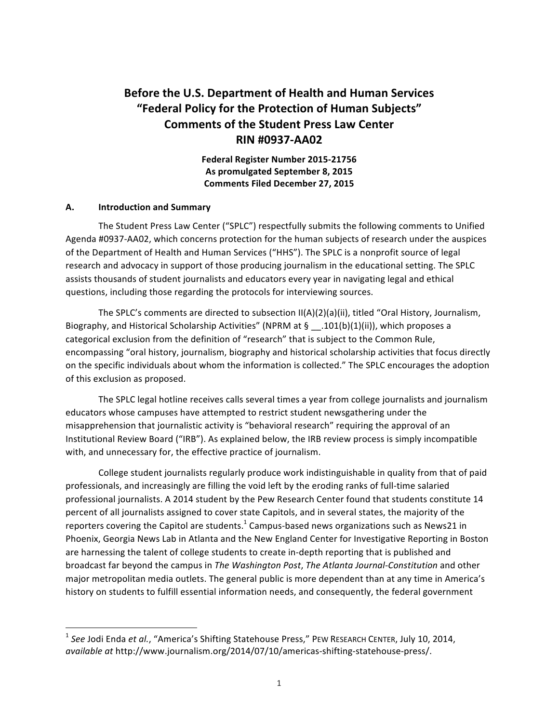# **Before the U.S. Department of Health and Human Services "Federal Policy for the Protection of Human Subjects" Comments of the Student Press Law Center RIN #0937-AA02**

**Federal Register Number 2015-21756** As promulgated September 8, 2015 **Comments Filed December 27, 2015**

#### **A. Introduction and Summary**

<u> 1989 - Jan Samuel Barbara, margaret e</u>

The Student Press Law Center ("SPLC") respectfully submits the following comments to Unified Agenda #0937-AA02, which concerns protection for the human subjects of research under the auspices of the Department of Health and Human Services ("HHS"). The SPLC is a nonprofit source of legal research and advocacy in support of those producing journalism in the educational setting. The SPLC assists thousands of student journalists and educators every year in navigating legal and ethical questions, including those regarding the protocols for interviewing sources.

The SPLC's comments are directed to subsection  $II(A)(2)(a)(ii)$ , titled "Oral History, Journalism, Biography, and Historical Scholarship Activities" (NPRM at §  $\quad$  .101(b)(1)(ii)), which proposes a categorical exclusion from the definition of "research" that is subject to the Common Rule, encompassing "oral history, journalism, biography and historical scholarship activities that focus directly on the specific individuals about whom the information is collected." The SPLC encourages the adoption of this exclusion as proposed.

The SPLC legal hotline receives calls several times a year from college journalists and journalism educators whose campuses have attempted to restrict student newsgathering under the misapprehension that journalistic activity is "behavioral research" requiring the approval of an Institutional Review Board ("IRB"). As explained below, the IRB review process is simply incompatible with, and unnecessary for, the effective practice of journalism.

College student journalists regularly produce work indistinguishable in quality from that of paid professionals, and increasingly are filling the void left by the eroding ranks of full-time salaried professional journalists. A 2014 student by the Pew Research Center found that students constitute 14 percent of all journalists assigned to cover state Capitols, and in several states, the majority of the reporters covering the Capitol are students.<sup>1</sup> Campus-based news organizations such as News21 in Phoenix, Georgia News Lab in Atlanta and the New England Center for Investigative Reporting in Boston are harnessing the talent of college students to create in-depth reporting that is published and broadcast far beyond the campus in *The Washington Post, The Atlanta Journal-Constitution* and other major metropolitan media outlets. The general public is more dependent than at any time in America's history on students to fulfill essential information needs, and consequently, the federal government

<sup>&</sup>lt;sup>1</sup> See Jodi Enda et al., "America's Shifting Statehouse Press," PEW RESEARCH CENTER, July 10, 2014, *available at* http://www.journalism.org/2014/07/10/americas-shifting-statehouse-press/.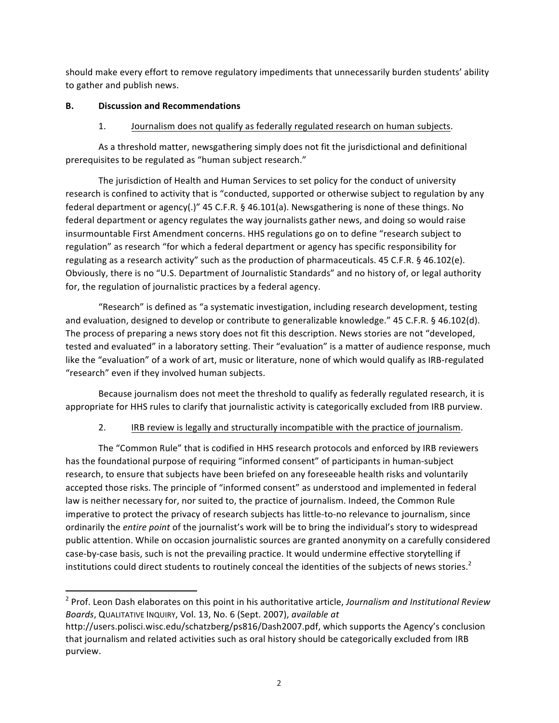should make every effort to remove regulatory impediments that unnecessarily burden students' ability to gather and publish news.

#### **B. Discussion and Recommendations**

<u> 1989 - Jan Samuel Barbara, margaret e</u>

### 1. Journalism does not qualify as federally regulated research on human subjects.

As a threshold matter, newsgathering simply does not fit the jurisdictional and definitional prerequisites to be regulated as "human subject research."

The jurisdiction of Health and Human Services to set policy for the conduct of university research is confined to activity that is "conducted, supported or otherwise subject to regulation by any federal department or agency(.)" 45 C.F.R. § 46.101(a). Newsgathering is none of these things. No federal department or agency regulates the way journalists gather news, and doing so would raise insurmountable First Amendment concerns. HHS regulations go on to define "research subject to regulation" as research "for which a federal department or agency has specific responsibility for regulating as a research activity" such as the production of pharmaceuticals. 45 C.F.R. § 46.102(e). Obviously, there is no "U.S. Department of Journalistic Standards" and no history of, or legal authority for, the regulation of journalistic practices by a federal agency.

"Research" is defined as "a systematic investigation, including research development, testing and evaluation, designed to develop or contribute to generalizable knowledge." 45 C.F.R. § 46.102(d). The process of preparing a news story does not fit this description. News stories are not "developed, tested and evaluated" in a laboratory setting. Their "evaluation" is a matter of audience response, much like the "evaluation" of a work of art, music or literature, none of which would qualify as IRB-regulated "research" even if they involved human subjects.

Because journalism does not meet the threshold to qualify as federally regulated research, it is appropriate for HHS rules to clarify that journalistic activity is categorically excluded from IRB purview.

## 2. IRB review is legally and structurally incompatible with the practice of journalism.

The "Common Rule" that is codified in HHS research protocols and enforced by IRB reviewers has the foundational purpose of requiring "informed consent" of participants in human-subject research, to ensure that subjects have been briefed on any foreseeable health risks and voluntarily accepted those risks. The principle of "informed consent" as understood and implemented in federal law is neither necessary for, nor suited to, the practice of journalism. Indeed, the Common Rule imperative to protect the privacy of research subjects has little-to-no relevance to journalism, since ordinarily the *entire point* of the journalist's work will be to bring the individual's story to widespread public attention. While on occasion journalistic sources are granted anonymity on a carefully considered case-by-case basis, such is not the prevailing practice. It would undermine effective storytelling if institutions could direct students to routinely conceal the identities of the subjects of news stories.<sup>2</sup>

<sup>&</sup>lt;sup>2</sup> Prof. Leon Dash elaborates on this point in his authoritative article, *Journalism and Institutional Review Boards*, QUALITATIVE INQUIRY, Vol. 13, No. 6 (Sept. 2007), *available at* 

http://users.polisci.wisc.edu/schatzberg/ps816/Dash2007.pdf, which supports the Agency's conclusion that journalism and related activities such as oral history should be categorically excluded from IRB purview.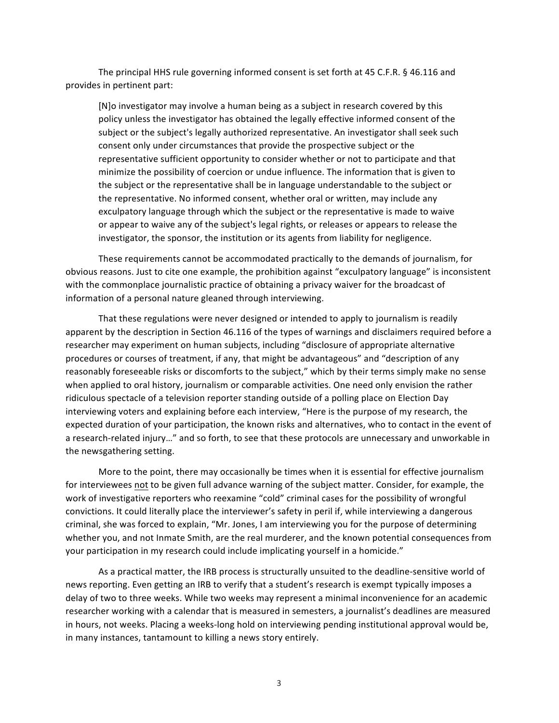The principal HHS rule governing informed consent is set forth at 45 C.F.R.  $\S$  46.116 and provides in pertinent part:

[N]o investigator may involve a human being as a subject in research covered by this policy unless the investigator has obtained the legally effective informed consent of the subject or the subject's legally authorized representative. An investigator shall seek such consent only under circumstances that provide the prospective subject or the representative sufficient opportunity to consider whether or not to participate and that minimize the possibility of coercion or undue influence. The information that is given to the subject or the representative shall be in language understandable to the subject or the representative. No informed consent, whether oral or written, may include any exculpatory language through which the subject or the representative is made to waive or appear to waive any of the subject's legal rights, or releases or appears to release the investigator, the sponsor, the institution or its agents from liability for negligence.

These requirements cannot be accommodated practically to the demands of journalism, for obvious reasons. Just to cite one example, the prohibition against "exculpatory language" is inconsistent with the commonplace journalistic practice of obtaining a privacy waiver for the broadcast of information of a personal nature gleaned through interviewing.

That these regulations were never designed or intended to apply to journalism is readily apparent by the description in Section 46.116 of the types of warnings and disclaimers required before a researcher may experiment on human subjects, including "disclosure of appropriate alternative procedures or courses of treatment, if any, that might be advantageous" and "description of any reasonably foreseeable risks or discomforts to the subject," which by their terms simply make no sense when applied to oral history, journalism or comparable activities. One need only envision the rather ridiculous spectacle of a television reporter standing outside of a polling place on Election Day interviewing voters and explaining before each interview, "Here is the purpose of my research, the expected duration of your participation, the known risks and alternatives, who to contact in the event of a research-related injury…" and so forth, to see that these protocols are unnecessary and unworkable in the newsgathering setting.

More to the point, there may occasionally be times when it is essential for effective journalism for interviewees not to be given full advance warning of the subject matter. Consider, for example, the work of investigative reporters who reexamine "cold" criminal cases for the possibility of wrongful convictions. It could literally place the interviewer's safety in peril if, while interviewing a dangerous criminal, she was forced to explain, "Mr. Jones, I am interviewing you for the purpose of determining whether you, and not Inmate Smith, are the real murderer, and the known potential consequences from your participation in my research could include implicating yourself in a homicide."

As a practical matter, the IRB process is structurally unsuited to the deadline-sensitive world of news reporting. Even getting an IRB to verify that a student's research is exempt typically imposes a delay of two to three weeks. While two weeks may represent a minimal inconvenience for an academic researcher working with a calendar that is measured in semesters, a journalist's deadlines are measured in hours, not weeks. Placing a weeks-long hold on interviewing pending institutional approval would be, in many instances, tantamount to killing a news story entirely.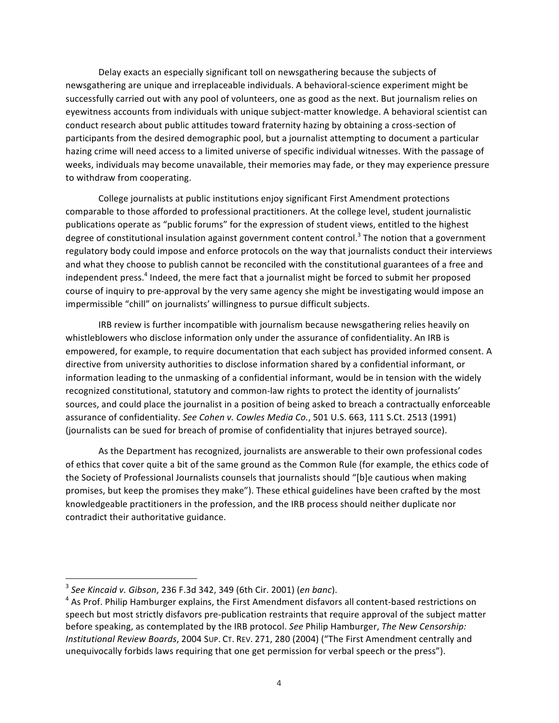Delay exacts an especially significant toll on newsgathering because the subjects of newsgathering are unique and irreplaceable individuals. A behavioral-science experiment might be successfully carried out with any pool of volunteers, one as good as the next. But journalism relies on eyewitness accounts from individuals with unique subject-matter knowledge. A behavioral scientist can conduct research about public attitudes toward fraternity hazing by obtaining a cross-section of participants from the desired demographic pool, but a journalist attempting to document a particular hazing crime will need access to a limited universe of specific individual witnesses. With the passage of weeks, individuals may become unavailable, their memories may fade, or they may experience pressure to withdraw from cooperating.

College journalists at public institutions enjoy significant First Amendment protections comparable to those afforded to professional practitioners. At the college level, student journalistic publications operate as "public forums" for the expression of student views, entitled to the highest degree of constitutional insulation against government content control.<sup>3</sup> The notion that a government regulatory body could impose and enforce protocols on the way that journalists conduct their interviews and what they choose to publish cannot be reconciled with the constitutional guarantees of a free and independent press.<sup>4</sup> Indeed, the mere fact that a journalist might be forced to submit her proposed course of inquiry to pre-approval by the very same agency she might be investigating would impose an impermissible "chill" on journalists' willingness to pursue difficult subjects.

IRB review is further incompatible with journalism because newsgathering relies heavily on whistleblowers who disclose information only under the assurance of confidentiality. An IRB is empowered, for example, to require documentation that each subject has provided informed consent. A directive from university authorities to disclose information shared by a confidential informant, or information leading to the unmasking of a confidential informant, would be in tension with the widely recognized constitutional, statutory and common-law rights to protect the identity of journalists' sources, and could place the journalist in a position of being asked to breach a contractually enforceable assurance of confidentiality. *See Cohen v. Cowles Media Co.*, 501 U.S. 663, 111 S.Ct. 2513 (1991) (journalists can be sued for breach of promise of confidentiality that injures betrayed source).

As the Department has recognized, journalists are answerable to their own professional codes of ethics that cover quite a bit of the same ground as the Common Rule (for example, the ethics code of the Society of Professional Journalists counsels that journalists should "[b]e cautious when making promises, but keep the promises they make"). These ethical guidelines have been crafted by the most knowledgeable practitioners in the profession, and the IRB process should neither duplicate nor contradict their authoritative guidance.

<u> 1989 - Jan Samuel Barbara, margaret e</u>

<sup>3</sup> *See Kincaid v. Gibson*, 236 F.3d 342, 349 (6th Cir. 2001) (*en banc*).

 $4$  As Prof. Philip Hamburger explains, the First Amendment disfavors all content-based restrictions on speech but most strictly disfavors pre-publication restraints that require approval of the subject matter before speaking, as contemplated by the IRB protocol. See Philip Hamburger, *The New Censorship: Institutional Review Boards,* 2004 Sup. CT. REV. 271, 280 (2004) ("The First Amendment centrally and unequivocally forbids laws requiring that one get permission for verbal speech or the press").